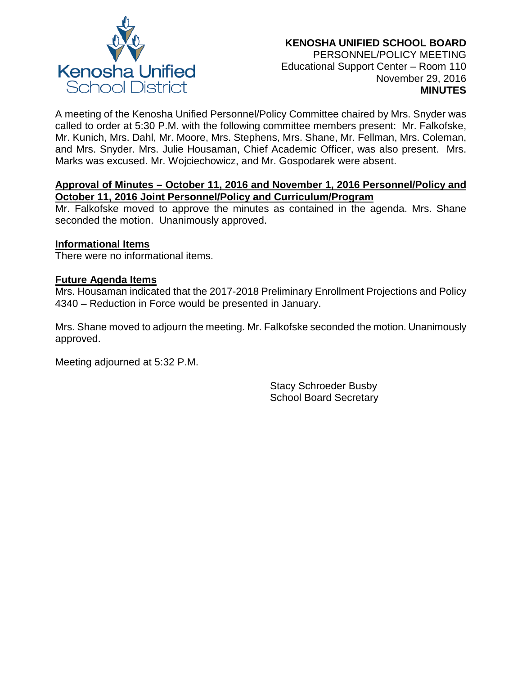

A meeting of the Kenosha Unified Personnel/Policy Committee chaired by Mrs. Snyder was called to order at 5:30 P.M. with the following committee members present: Mr. Falkofske, Mr. Kunich, Mrs. Dahl, Mr. Moore, Mrs. Stephens, Mrs. Shane, Mr. Fellman, Mrs. Coleman, and Mrs. Snyder. Mrs. Julie Housaman, Chief Academic Officer, was also present. Mrs. Marks was excused. Mr. Wojciechowicz, and Mr. Gospodarek were absent.

# **Approval of Minutes – October 11, 2016 and November 1, 2016 Personnel/Policy and October 11, 2016 Joint Personnel/Policy and Curriculum/Program**

Mr. Falkofske moved to approve the minutes as contained in the agenda. Mrs. Shane seconded the motion. Unanimously approved.

# **Informational Items**

There were no informational items.

### **Future Agenda Items**

Mrs. Housaman indicated that the 2017-2018 Preliminary Enrollment Projections and Policy 4340 – Reduction in Force would be presented in January.

Mrs. Shane moved to adjourn the meeting. Mr. Falkofske seconded the motion. Unanimously approved.

Meeting adjourned at 5:32 P.M.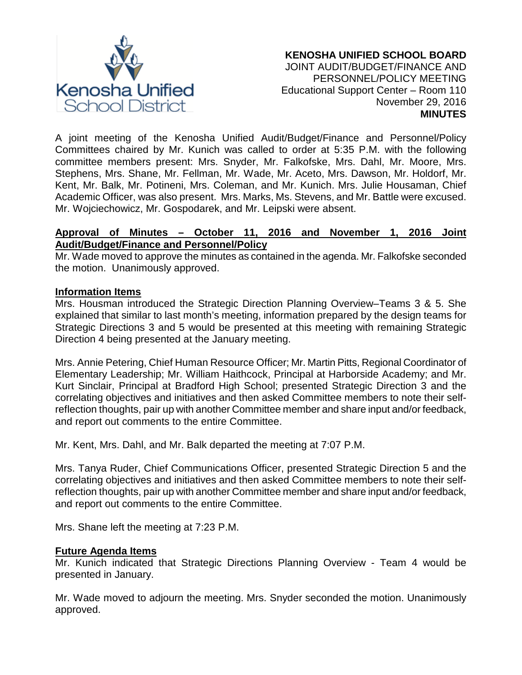

A joint meeting of the Kenosha Unified Audit/Budget/Finance and Personnel/Policy Committees chaired by Mr. Kunich was called to order at 5:35 P.M. with the following committee members present: Mrs. Snyder, Mr. Falkofske, Mrs. Dahl, Mr. Moore, Mrs. Stephens, Mrs. Shane, Mr. Fellman, Mr. Wade, Mr. Aceto, Mrs. Dawson, Mr. Holdorf, Mr. Kent, Mr. Balk, Mr. Potineni, Mrs. Coleman, and Mr. Kunich. Mrs. Julie Housaman, Chief Academic Officer, was also present. Mrs. Marks, Ms. Stevens, and Mr. Battle were excused. Mr. Wojciechowicz, Mr. Gospodarek, and Mr. Leipski were absent.

# **Approval of Minutes – October 11, 2016 and November 1, 2016 Joint Audit/Budget/Finance and Personnel/Policy**

Mr. Wade moved to approve the minutes as contained in the agenda. Mr. Falkofske seconded the motion. Unanimously approved.

# **Information Items**

Mrs. Housman introduced the Strategic Direction Planning Overview–Teams 3 & 5. She explained that similar to last month's meeting, information prepared by the design teams for Strategic Directions 3 and 5 would be presented at this meeting with remaining Strategic Direction 4 being presented at the January meeting.

Mrs. Annie Petering, Chief Human Resource Officer; Mr. Martin Pitts, Regional Coordinator of Elementary Leadership; Mr. William Haithcock, Principal at Harborside Academy; and Mr. Kurt Sinclair, Principal at Bradford High School; presented Strategic Direction 3 and the correlating objectives and initiatives and then asked Committee members to note their selfreflection thoughts, pair up with another Committee member and share input and/or feedback, and report out comments to the entire Committee.

Mr. Kent, Mrs. Dahl, and Mr. Balk departed the meeting at 7:07 P.M.

Mrs. Tanya Ruder, Chief Communications Officer, presented Strategic Direction 5 and the correlating objectives and initiatives and then asked Committee members to note their selfreflection thoughts, pair up with another Committee member and share input and/or feedback, and report out comments to the entire Committee.

Mrs. Shane left the meeting at 7:23 P.M.

# **Future Agenda Items**

Mr. Kunich indicated that Strategic Directions Planning Overview - Team 4 would be presented in January.

Mr. Wade moved to adjourn the meeting. Mrs. Snyder seconded the motion. Unanimously approved.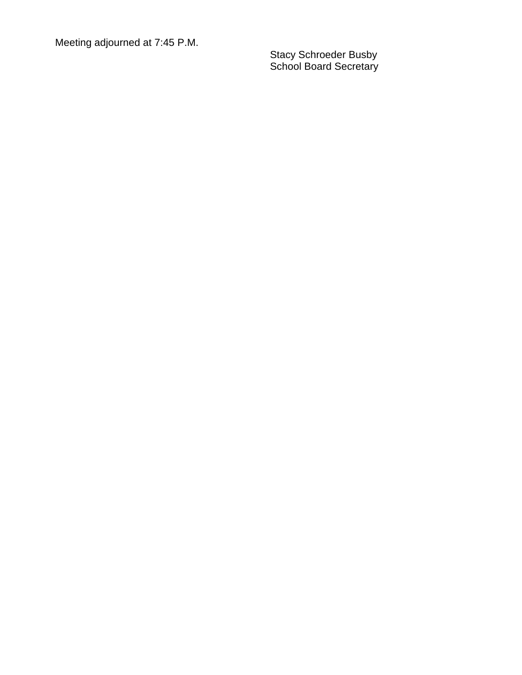Meeting adjourned at 7:4 5 P.M.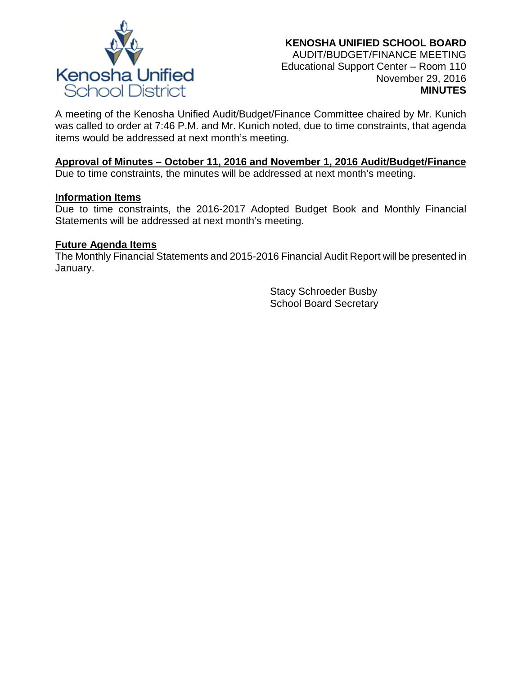

A meeting of the Kenosha Unified Audit/Budget/Finance Committee chaired by Mr. Kunich was called to order at 7:46 P.M. and Mr. Kunich noted, due to time constraints, that agenda items would be addressed at next month's meeting.

### **Approval of Minutes – October 11, 2016 and November 1, 2016 Audit/Budget/Finance**

Due to time constraints, the minutes will be addressed at next month's meeting.

#### **Information Items**

Due to time constraints, the 2016-2017 Adopted Budget Book and Monthly Financial Statements will be addressed at next month's meeting.

### **Future Agenda Items**

The Monthly Financial Statements and 2015-2016 Financial Audit Report will be presented in January.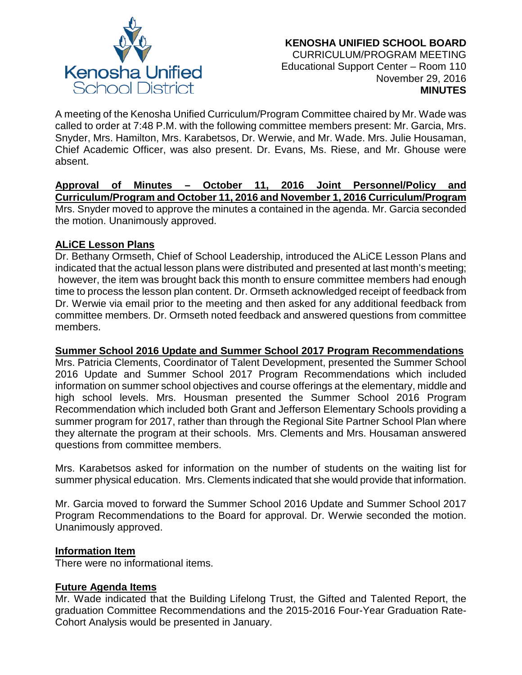

A meeting of the Kenosha Unified Curriculum/Program Committee chaired by Mr. Wade was called to order at 7:48 P.M. with the following committee members present: Mr. Garcia, Mrs. Snyder, Mrs. Hamilton, Mrs. Karabetsos, Dr. Werwie, and Mr. Wade. Mrs. Julie Housaman, Chief Academic Officer, was also present. Dr. Evans, Ms. Riese, and Mr. Ghouse were absent.

**Approval of Minutes – October 11, 2016 Joint Personnel/Policy and Curriculum/Program and October 11, 2016 and November 1, 2016 Curriculum/Program** Mrs. Snyder moved to approve the minutes a contained in the agenda. Mr. Garcia seconded the motion. Unanimously approved.

# **ALiCE Lesson Plans**

Dr. Bethany Ormseth, Chief of School Leadership, introduced the ALiCE Lesson Plans and indicated that the actual lesson plans were distributed and presented at last month's meeting; however, the item was brought back this month to ensure committee members had enough time to process the lesson plan content. Dr. Ormseth acknowledged receipt of feedback from Dr. Werwie via email prior to the meeting and then asked for any additional feedback from committee members. Dr. Ormseth noted feedback and answered questions from committee members.

# **Summer School 2016 Update and Summer School 2017 Program Recommendations**

Mrs. Patricia Clements, Coordinator of Talent Development, presented the Summer School 2016 Update and Summer School 2017 Program Recommendations which included information on summer school objectives and course offerings at the elementary, middle and high school levels. Mrs. Housman presented the Summer School 2016 Program Recommendation which included both Grant and Jefferson Elementary Schools providing a summer program for 2017, rather than through the Regional Site Partner School Plan where they alternate the program at their schools. Mrs. Clements and Mrs. Housaman answered questions from committee members.

Mrs. Karabetsos asked for information on the number of students on the waiting list for summer physical education. Mrs. Clements indicated that she would provide that information.

Mr. Garcia moved to forward the Summer School 2016 Update and Summer School 2017 Program Recommendations to the Board for approval. Dr. Werwie seconded the motion. Unanimously approved.

# **Information Item**

There were no informational items.

# **Future Agenda Items**

Mr. Wade indicated that the Building Lifelong Trust, the Gifted and Talented Report, the graduation Committee Recommendations and the 2015-2016 Four-Year Graduation Rate-Cohort Analysis would be presented in January.